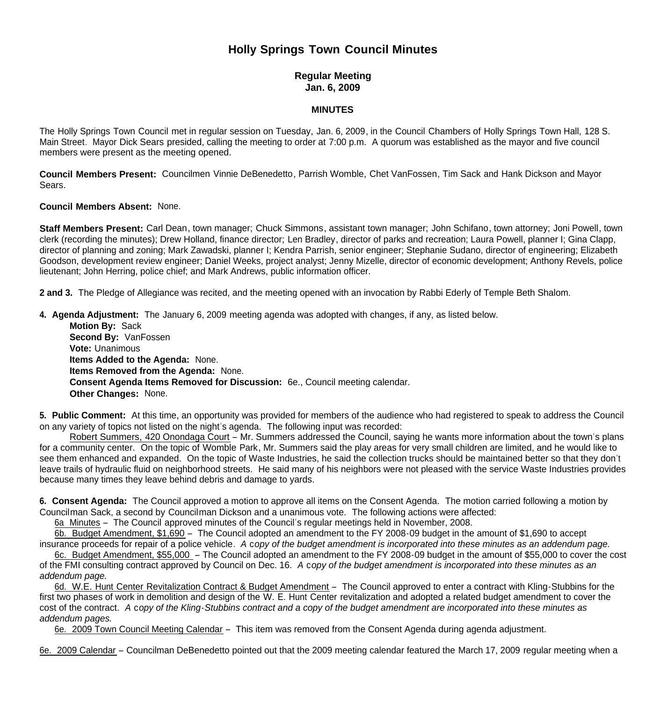# **Holly Springs Town Council Minutes**

## **Regular Meeting Jan. 6, 2009**

## **MINUTES**

The Holly Springs Town Council met in regular session on Tuesday, Jan. 6, 2009, in the Council Chambers of Holly Springs Town Hall, 128 S. Main Street. Mayor Dick Sears presided, calling the meeting to order at 7:00 p.m. A quorum was established as the mayor and five council members were present as the meeting opened.

**Council Members Present:** Councilmen Vinnie DeBenedetto, Parrish Womble, Chet VanFossen, Tim Sack and Hank Dickson and Mayor Sears.

### **Council Members Absent:** None.

**Staff Members Present:** Carl Dean, town manager; Chuck Simmons, assistant town manager; John Schifano, town attorney; Joni Powell, town clerk (recording the minutes); Drew Holland, finance director; Len Bradley, director of parks and recreation; Laura Powell, planner I; Gina Clapp, director of planning and zoning; Mark Zawadski, planner I; Kendra Parrish, senior engineer; Stephanie Sudano, director of engineering; Elizabeth Goodson, development review engineer; Daniel Weeks, project analyst; Jenny Mizelle, director of economic development; Anthony Revels, police lieutenant; John Herring, police chief; and Mark Andrews, public information officer.

**2 and 3.** The Pledge of Allegiance was recited, and the meeting opened with an invocation by Rabbi Ederly of Temple Beth Shalom.

**4. Agenda Adjustment:** The January 6, 2009 meeting agenda was adopted with changes, if any, as listed below.

**Motion By: Sack Second By:** VanFossen **Vote:** Unanimous **Items Added to the Agenda:** None. **Items Removed from the Agenda:** None. **Consent Agenda Items Removed for Discussion:** 6e., Council meeting calendar. **Other Changes:** None.

**5. Public Comment:** At this time, an opportunity was provided for members of the audience who had registered to speak to address the Council on any variety of topics not listed on the night's agenda. The following input was recorded:

 Robert Summers, 420 Onondaga Court – Mr. Summers addressed the Council, saying he wants more information about the town's plans for a community center. On the topic of Womble Park, Mr. Summers said the play areas for very small children are limited, and he would like to see them enhanced and expanded. On the topic of Waste Industries, he said the collection trucks should be maintained better so that they don't leave trails of hydraulic fluid on neighborhood streets. He said many of his neighbors were not pleased with the service Waste Industries provides because many times they leave behind debris and damage to yards.

**6. Consent Agenda:** The Council approved a motion to approve all items on the Consent Agenda. The motion carried following a motion by Councilman Sack, a second by Councilman Dickson and a unanimous vote. The following actions were affected:

6a Minutes – The Council approved minutes of the Council's regular meetings held in November, 2008.

6b. Budget Amendment, \$1,690 – The Council adopted an amendment to the FY 2008-09 budget in the amount of \$1,690 to accept

insurance proceeds for repair of a police vehicle. *A* c*opy of the budget amendment is incorporated into these minutes as an addendum page.* 6c. Budget Amendment, \$55,000 – The Council adopted an amendment to the FY 2008-09 budget in the amount of \$55,000 to cover the cost of the FMI consulting contract approved by Council on Dec. 16. *A* c*opy of the budget amendment is incorporated into these minutes as an addendum page.*

6d. W.E. Hunt Center Revitalization Contract & Budget Amendment – The Council approved to enter a contract with Kling-Stubbins for the first two phases of work in demolition and design of the W. E. Hunt Center revitalization and adopted a related budget amendment to cover the cost of the contract. *A* c*opy of the Kling-Stubbins contract and a copy of the budget amendment are incorporated into these minutes as addendum pages.*

6e. 2009 Town Council Meeting Calendar – This item was removed from the Consent Agenda during agenda adjustment.

6e. 2009 Calendar – Councilman DeBenedetto pointed out that the 2009 meeting calendar featured the March 17, 2009 regular meeting when a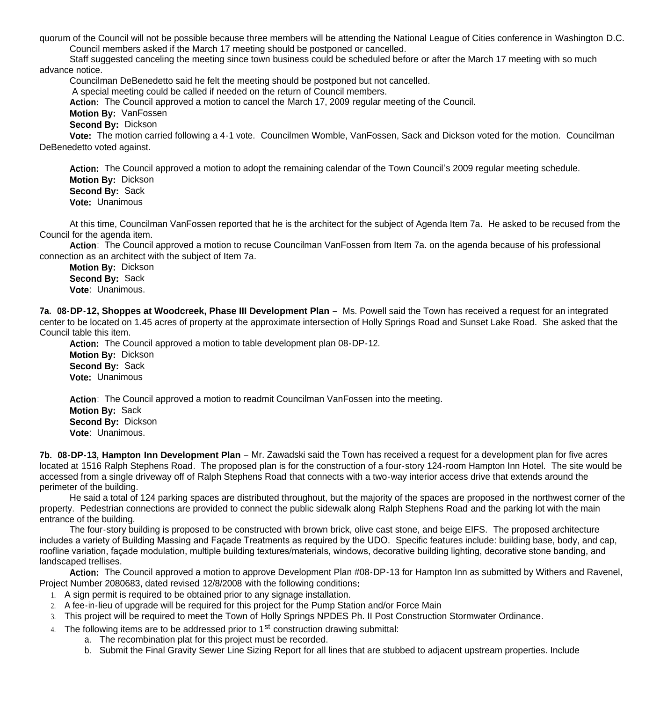quorum of the Council will not be possible because three members will be attending the National League of Cities conference in Washington D.C. Council members asked if the March 17 meeting should be postponed or cancelled.

 Staff suggested canceling the meeting since town business could be scheduled before or after the March 17 meeting with so much advance notice.

Councilman DeBenedetto said he felt the meeting should be postponed but not cancelled.

A special meeting could be called if needed on the return of Council members.

**Action:** The Council approved a motion to cancel the March 17, 2009 regular meeting of the Council.

**Motion By:** VanFossen

**Second By:** Dickson

 **Vote:** The motion carried following a 4-1 vote. Councilmen Womble, VanFossen, Sack and Dickson voted for the motion. Councilman DeBenedetto voted against.

 **Action:** The Council approved a motion to adopt the remaining calendar of the Town Council's 2009 regular meeting schedule. **Motion By:** Dickson **Second By:** Sack **Vote:** Unanimous

 At this time, Councilman VanFossen reported that he is the architect for the subject of Agenda Item 7a. He asked to be recused from the Council for the agenda item.

 **Action**: The Council approved a motion to recuse Councilman VanFossen from Item 7a. on the agenda because of his professional connection as an architect with the subject of Item 7a.

 **Motion By:** Dickson **Second By:** Sack **Vote**: Unanimous.

**7a. 08-DP-12, Shoppes at Woodcreek, Phase III Development Plan** – Ms. Powell said the Town has received a request for an integrated center to be located on 1.45 acres of property at the approximate intersection of Holly Springs Road and Sunset Lake Road. She asked that the Council table this item.

 **Action:** The Council approved a motion to table development plan 08-DP-12. **Motion By:** Dickson

 **Second By:** Sack **Vote:** Unanimous

**Action**: The Council approved a motion to readmit Councilman VanFossen into the meeting.  **Motion By:** Sack **Second By:** Dickson **Vote**: Unanimous.

**7b. 08-DP-13, Hampton Inn Development Plan** – Mr. Zawadski said the Town has received a request for a development plan for five acres located at 1516 Ralph Stephens Road. The proposed plan is for the construction of a four-story 124-room Hampton Inn Hotel. The site would be accessed from a single driveway off of Ralph Stephens Road that connects with a two-way interior access drive that extends around the perimeter of the building.

 He said a total of 124 parking spaces are distributed throughout, but the majority of the spaces are proposed in the northwest corner of the property. Pedestrian connections are provided to connect the public sidewalk along Ralph Stephens Road and the parking lot with the main entrance of the building.

 The four-story building is proposed to be constructed with brown brick, olive cast stone, and beige EIFS. The proposed architecture includes a variety of Building Massing and Façade Treatments as required by the UDO. Specific features include: building base, body, and cap, roofline variation, façade modulation, multiple building textures/materials, windows, decorative building lighting, decorative stone banding, and landscaped trellises.

**Action:** The Council approved a motion to approve Development Plan #08-DP-13 for Hampton Inn as submitted by Withers and Ravenel, Project Number 2080683, dated revised 12/8/2008 with the following conditions**:**

- 1. A sign permit is required to be obtained prior to any signage installation.
- 2. A fee-in-lieu of upgrade will be required for this project for the Pump Station and/or Force Main
- 3. This project will be required to meet the Town of Holly Springs NPDES Ph. II Post Construction Stormwater Ordinance.
- 4. The following items are to be addressed prior to  $1<sup>st</sup>$  construction drawing submittal:
	- a. The recombination plat for this project must be recorded.
	- b. Submit the Final Gravity Sewer Line Sizing Report for all lines that are stubbed to adjacent upstream properties. Include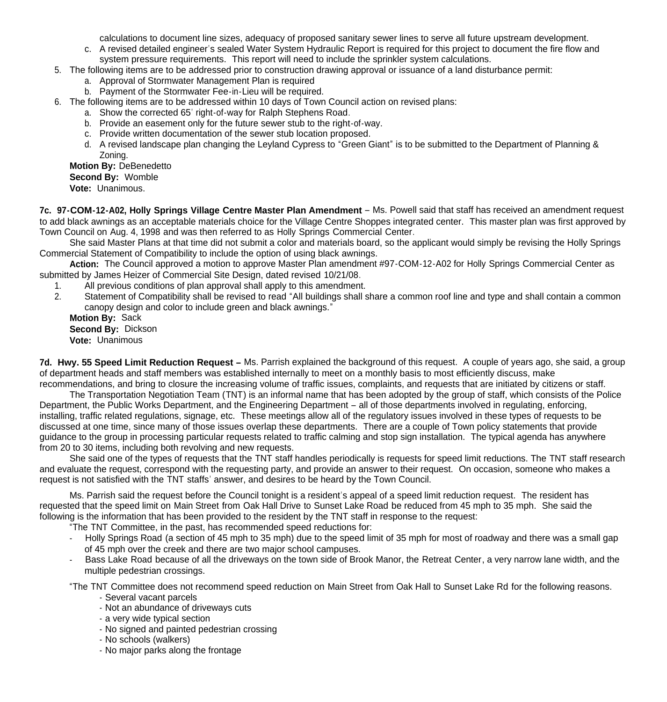calculations to document line sizes, adequacy of proposed sanitary sewer lines to serve all future upstream development.

- c. A revised detailed engineer's sealed Water System Hydraulic Report is required for this project to document the fire flow and system pressure requirements. This report will need to include the sprinkler system calculations.
- 5. The following items are to be addressed prior to construction drawing approval or issuance of a land disturbance permit:
	- a. Approval of Stormwater Management Plan is required
	- b. Payment of the Stormwater Fee-in-Lieu will be required.
- 6. The following items are to be addressed within 10 days of Town Council action on revised plans:
	- a. Show the corrected 65' right-of-way for Ralph Stephens Road.
	- b. Provide an easement only for the future sewer stub to the right-of-way.
	- c. Provide written documentation of the sewer stub location proposed.
	- d. A revised landscape plan changing the Leyland Cypress to "Green Giant" is to be submitted to the Department of Planning & Zoning.

### **Motion By:** DeBenedetto **Second By:** Womble

**Vote:** Unanimous.

**7c. 97-COM-12-A02, Holly Springs Village Centre Master Plan Amendment** – Ms. Powell said that staff has received an amendment request to add black awnings as an acceptable materials choice for the Village Centre Shoppes integrated center. This master plan was first approved by Town Council on Aug. 4, 1998 and was then referred to as Holly Springs Commercial Center.

 She said Master Plans at that time did not submit a color and materials board, so the applicant would simply be revising the Holly Springs Commercial Statement of Compatibility to include the option of using black awnings.

 **Action:** The Council approved a motion to approve Master Plan amendment #97-COM-12-A02 for Holly Springs Commercial Center as submitted by James Heizer of Commercial Site Design, dated revised 10/21/08.

- 
- 1. All previous conditions of plan approval shall apply to this amendment.<br>2. Statement of Compatibility shall be revised to read "All buildings shall s Statement of Compatibility shall be revised to read "All buildings shall share a common roof line and type and shall contain a common canopy design and color to include green and black awnings."

 **Motion By:** Sack **Second By:** Dickson **Vote:** Unanimous

**7d. Hwy. 55 Speed Limit Reduction Request –** Ms. Parrish explained the background of this request. A couple of years ago, she said, a group of department heads and staff members was established internally to meet on a monthly basis to most efficiently discuss, make recommendations, and bring to closure the increasing volume of traffic issues, complaints, and requests that are initiated by citizens or staff.

 The Transportation Negotiation Team (TNT) is an informal name that has been adopted by the group of staff, which consists of the Police Department, the Public Works Department, and the Engineering Department – all of those departments involved in regulating, enforcing, installing, traffic related regulations, signage, etc. These meetings allow all of the regulatory issues involved in these types of requests to be discussed at one time, since many of those issues overlap these departments. There are a couple of Town policy statements that provide guidance to the group in processing particular requests related to traffic calming and stop sign installation. The typical agenda has anywhere from 20 to 30 items, including both revolving and new requests.

She said one of the types of requests that the TNT staff handles periodically is requests for speed limit reductions. The TNT staff research and evaluate the request, correspond with the requesting party, and provide an answer to their request. On occasion, someone who makes a request is not satisfied with the TNT staffs' answer, and desires to be heard by the Town Council.

Ms. Parrish said the request before the Council tonight is a resident's appeal of a speed limit reduction request. The resident has requested that the speed limit on Main Street from Oak Hall Drive to Sunset Lake Road be reduced from 45 mph to 35 mph. She said the following is the information that has been provided to the resident by the TNT staff in response to the request:

"The TNT Committee, in the past, has recommended speed reductions for:

- Holly Springs Road (a section of 45 mph to 35 mph) due to the speed limit of 35 mph for most of roadway and there was a small gap of 45 mph over the creek and there are two major school campuses.
- Bass Lake Road because of all the driveways on the town side of Brook Manor, the Retreat Center, a very narrow lane width, and the multiple pedestrian crossings.
- "The TNT Committee does not recommend speed reduction on Main Street from Oak Hall to Sunset Lake Rd for the following reasons.
	- Several vacant parcels
	- Not an abundance of driveways cuts
	- a very wide typical section
	- No signed and painted pedestrian crossing
	- No schools (walkers)
	- No major parks along the frontage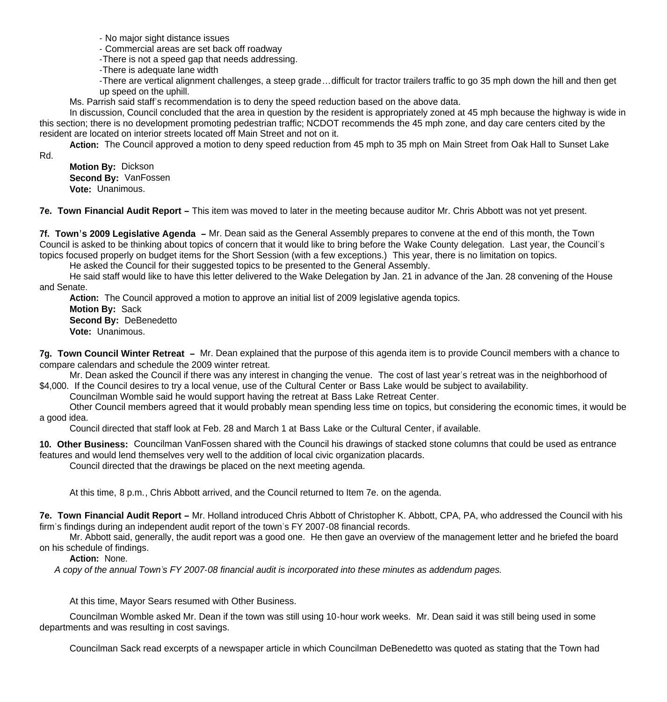- No major sight distance issues

- Commercial areas are set back off roadway

-There is not a speed gap that needs addressing.

-There is adequate lane width

-There are vertical alignment challenges, a steep grade…difficult for tractor trailers traffic to go 35 mph down the hill and then get up speed on the uphill.

Ms. Parrish said staff's recommendation is to deny the speed reduction based on the above data.

In discussion, Council concluded that the area in question by the resident is appropriately zoned at 45 mph because the highway is wide in this section; there is no development promoting pedestrian traffic; NCDOT recommends the 45 mph zone, and day care centers cited by the resident are located on interior streets located off Main Street and not on it.

 **Action:** The Council approved a motion to deny speed reduction from 45 mph to 35 mph on Main Street from Oak Hall to Sunset Lake

Rd.

**Motion By:** Dickson **Second By:** VanFossen **Vote:** Unanimous.

**7e. Town Financial Audit Report –** This item was moved to later in the meeting because auditor Mr. Chris Abbott was not yet present.

**7f. Town's 2009 Legislative Agenda –** Mr. Dean said as the General Assembly prepares to convene at the end of this month, the Town Council is asked to be thinking about topics of concern that it would like to bring before the Wake County delegation. Last year, the Council's topics focused properly on budget items for the Short Session (with a few exceptions.) This year, there is no limitation on topics.

He asked the Council for their suggested topics to be presented to the General Assembly.

 He said staff would like to have this letter delivered to the Wake Delegation by Jan. 21 in advance of the Jan. 28 convening of the House and Senate.

**Action:** The Council approved a motion to approve an initial list of 2009 legislative agenda topics.

**Motion By:** Sack **Second By:** DeBenedetto **Vote:** Unanimous.

**7g. Town Council Winter Retreat –** Mr. Dean explained that the purpose of this agenda item is to provide Council members with a chance to compare calendars and schedule the 2009 winter retreat.

 Mr. Dean asked the Council if there was any interest in changing the venue. The cost of last year's retreat was in the neighborhood of \$4,000. If the Council desires to try a local venue, use of the Cultural Center or Bass Lake would be subject to availability.

Councilman Womble said he would support having the retreat at Bass Lake Retreat Center.

 Other Council members agreed that it would probably mean spending less time on topics, but considering the economic times, it would be a good idea.

Council directed that staff look at Feb. 28 and March 1 at Bass Lake or the Cultural Center, if available.

**10. Other Business:** Councilman VanFossen shared with the Council his drawings of stacked stone columns that could be used as entrance features and would lend themselves very well to the addition of local civic organization placards.

Council directed that the drawings be placed on the next meeting agenda.

At this time, 8 p.m., Chris Abbott arrived, and the Council returned to Item 7e. on the agenda.

**7e. Town Financial Audit Report –** Mr. Holland introduced Chris Abbott of Christopher K. Abbott, CPA, PA, who addressed the Council with his firm's findings during an independent audit report of the town's FY 2007-08 financial records.

 Mr. Abbott said, generally, the audit report was a good one. He then gave an overview of the management letter and he briefed the board on his schedule of findings.

**Action:** None.

*A copy of the annual Town's FY 2007-08 financial audit is incorporated into these minutes as addendum pages.*

At this time, Mayor Sears resumed with Other Business.

 Councilman Womble asked Mr. Dean if the town was still using 10-hour work weeks. Mr. Dean said it was still being used in some departments and was resulting in cost savings.

Councilman Sack read excerpts of a newspaper article in which Councilman DeBenedetto was quoted as stating that the Town had